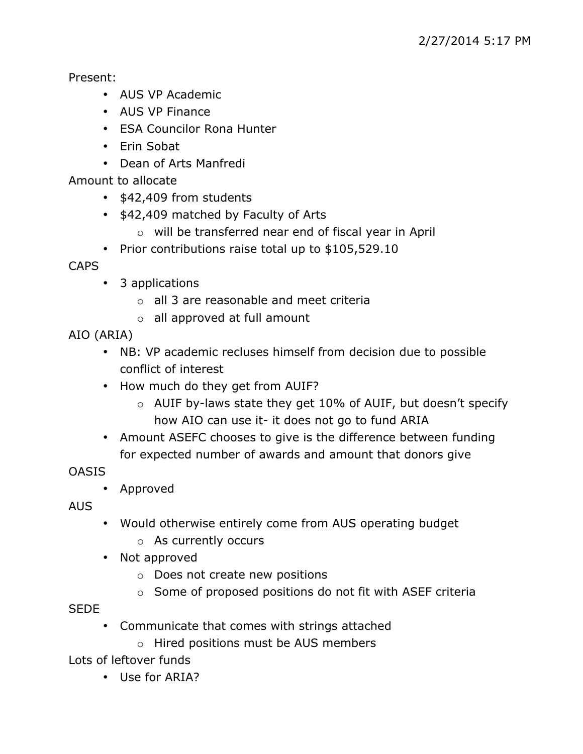Present:

- AUS VP Academic
- AUS VP Finance
- ESA Councilor Rona Hunter
- Erin Sobat
- Dean of Arts Manfredi

Amount to allocate

- \$42,409 from students
- \$42,409 matched by Faculty of Arts
	- o will be transferred near end of fiscal year in April
- Prior contributions raise total up to \$105,529.10

CAPS

- 3 applications
	- o all 3 are reasonable and meet criteria
	- o all approved at full amount

AIO (ARIA)

- NB: VP academic recluses himself from decision due to possible conflict of interest
- How much do they get from AUIF?
	- o AUIF by-laws state they get 10% of AUIF, but doesn't specify how AIO can use it- it does not go to fund ARIA
- Amount ASEFC chooses to give is the difference between funding for expected number of awards and amount that donors give

**OASIS** 

• Approved

AUS

- Would otherwise entirely come from AUS operating budget
	- o As currently occurs
- Not approved
	- o Does not create new positions
	- o Some of proposed positions do not fit with ASEF criteria

SEDE

- Communicate that comes with strings attached
	- o Hired positions must be AUS members

Lots of leftover funds

• Use for ARIA?